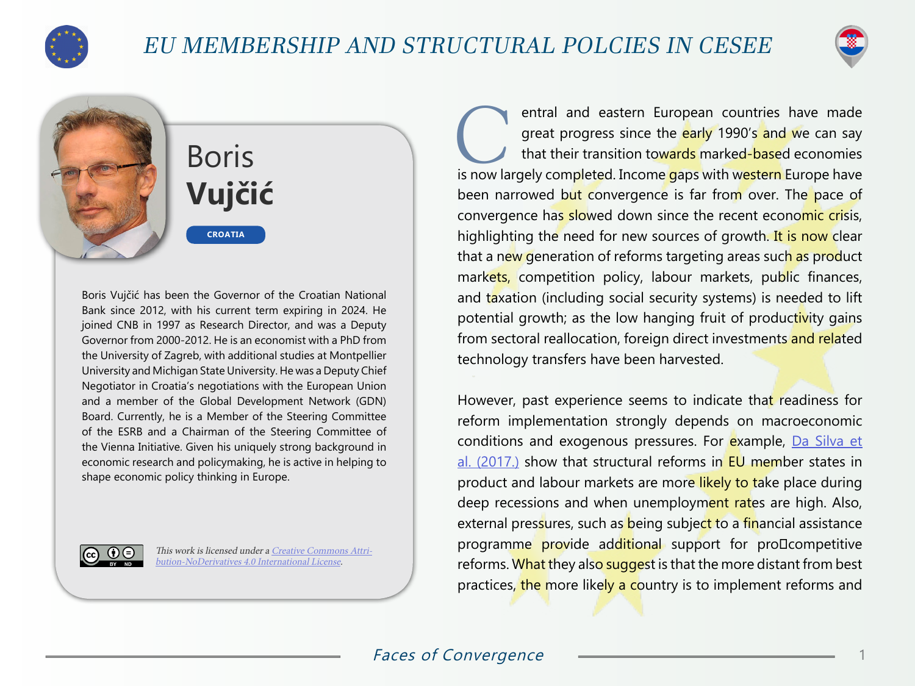

## EU MEMBERSHIP AND STRUCTURAL POLCIES IN CESEE



## Boris **Vujčić CROATIA**

Boris Vujčić has been the Governor of the Croatian National Bank since 2012, with his current term expiring in 2024. He joined CNB in 1997 as Research Director, and was a Deputy Governor from 2000-2012. He is an economist with a PhD from the University of Zagreb, with additional studies at Montpellier University and Michigan State University. He was a Deputy Chief Negotiator in Croatia's negotiations with the European Union and a member of the Global Development Network (GDN) Board. Currently, he is a Member of the Steering Committee of the ESRB and a Chairman of the Steering Committee of the Vienna Initiative. Given his uniquely strong background in economic research and policymaking, he is active in helping to shape economic policy thinking in Europe.



This work is licensed under a [Creative Commons Attri](https://creativecommons.org/licenses/by-nd/4.0/)[bution-NoDerivatives 4.0 International License](https://creativecommons.org/licenses/by-nd/4.0/).

**Contral and eastern European countries have made great progress since the early 1990's and we can say that their transition towards marked-based economies is now largely completed. Income gaps with western Europe have** great progress since the early 1990's and we can say that their transition towards marked-based economies been narrowed but convergence is far from over. The pace of convergence has slowed down since the recent economic crisis, highlighting the need for new sources of growth. It is now clear that a new generation of reforms targeting areas such as product markets, competition policy, labour markets, public finances, and taxation (including social security systems) is needed to lift potential growth; as the low hanging fruit of productivity gains from sectoral reallocation, foreign direct investments and related technology transfers have been harvested.

However, past experience seems to indicate that readiness for reform implementation strongly depends on macroeconomic conditions and exogenous pressures. For example, [Da Silva et](https://www.ecb.europa.eu/pub/pdf/scpwps/ecb.wp2078.en.pdf) [al. \(2017.\)](https://www.ecb.europa.eu/pub/pdf/scpwps/ecb.wp2078.en.pdf) show that structural reforms in EU member states in product and labour markets are more likely to take place during deep recessions and when unemployment rates are high. Also, external pressures, such as being subject to a financial assistance programme provide additional support for proDcompetitive reforms. What they also suggest is that the more distant from best practices, the more likely a country is to implement reforms and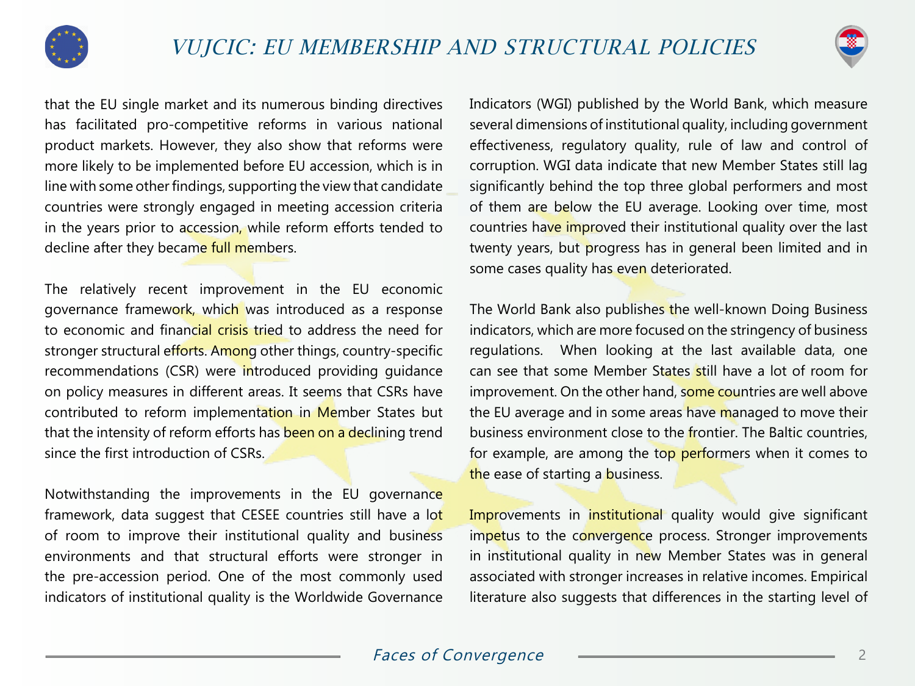



that the EU single market and its numerous binding directives has facilitated pro-competitive reforms in various national product markets. However, they also show that reforms were more likely to be implemented before EU accession, which is in line with some other findings, supporting the view that candidate countries were strongly engaged in meeting accession criteria in the years prior to accession, while reform efforts tended to decline after they became full members.

The relatively recent improvement in the EU economic governance framework, which was introduced as a response to economic and financial crisis tried to address the need for stronger structural efforts. Among other things, country-specific recommendations (CSR) were introduced providing guidance on policy measures in different areas. It seems that CSRs have contributed to reform implementation in Member States but that the intensity of reform efforts has been on a declining trend since the first introduction of CSRs.

Notwithstanding the improvements in the EU governance framework, data suggest that CESEE countries still have a lot of room to improve their institutional quality and business environments and that structural efforts were stronger in the pre-accession period. One of the most commonly used indicators of institutional quality is the Worldwide Governance

Indicators (WGI) published by the World Bank, which measure several dimensions of institutional quality, including government effectiveness, regulatory quality, rule of law and control of corruption. WGI data indicate that new Member States still lag significantly behind the top three global performers and most of them are below the EU average. Looking over time, most countries have improved their institutional quality over the last twenty years, but progress has in general been limited and in some cases quality has even deteriorated.

The World Bank also publishes the well-known Doing Business indicators, which are more focused on the stringency of business regulations. When looking at the last available data, one can see that some Member States still have a lot of room for improvement. On the other hand, some countries are well above the EU average and in some areas have managed to move their business environment close to the frontier. The Baltic countries, for example, are among the top performers when it comes to the ease of starting a business.

Improvements in institutional quality would give significant impetus to the convergence process. Stronger improvements in institutional quality in new Member States was in general associated with stronger increases in relative incomes. Empirical literature also suggests that differences in the starting level of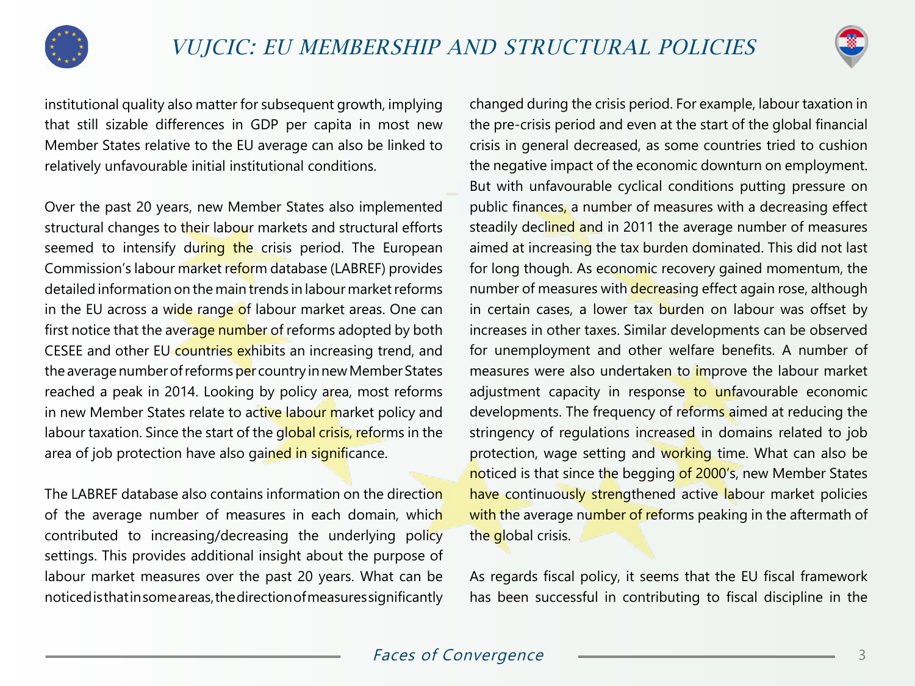



institutional quality also matter for subsequent growth, implying that still sizable differences in GDP per capita in most new Member States relative to the EU average can also be linked to relatively unfavourable initial institutional conditions.

Over the past 20 years, new Member States also implemented structural changes to their labour markets and structural efforts seemed to intensify during the crisis period. The European Commission's labour market reform database (LABREF) provides detailed information on the main trends in labour market reforms in the EU across a wide range of labour market areas. One can first notice that the average number of reforms adopted by both CESEE and other EU countries exhibits an increasing trend, and the average number of reforms per country in new Member States reached a peak in 2014. Looking by policy area, most reforms in new Member States relate to active labour market policy and labour taxation. Since the start of the global crisis, reforms in the area of job protection have also gained in significance.

The LABREF database also contains information on the direction of the average number of measures in each domain, which contributed to increasing/decreasing the underlying policy settings. This provides additional insight about the purpose of labour market measures over the past 20 years. What can be noticed is that in some areas, the direction of measures significantly

changed during the crisis period. For example, labour taxation in the pre-crisis period and even at the start of the global financial crisis in general decreased, as some countries tried to cushion the negative impact of the economic downturn on employment. But with unfavourable cyclical conditions putting pressure on public finances, a number of measures with a decreasing effect steadily declined and in 2011 the average number of measures aimed at increasing the tax burden dominated. This did not last for long though. As economic recovery gained momentum, the number of measures with decreasing effect again rose, although in certain cases, a lower tax burden on labour was offset by increases in other taxes. Similar developments can be observed for unemployment and other welfare benefits. A number of measures were also undertaken to improve the labour market adjustment capacity in response to unfavourable economic developments. The frequency of reforms aimed at reducing the stringency of regulations increased in domains related to job protection, wage setting and working time. What can also be noticed is that since the begging of 2000's, new Member States have continuously strengthened active labour market policies with the average number of reforms peaking in the aftermath of the global crisis.

As regards fiscal policy, it seems that the EU fiscal framework has been successful in contributing to fiscal discipline in the